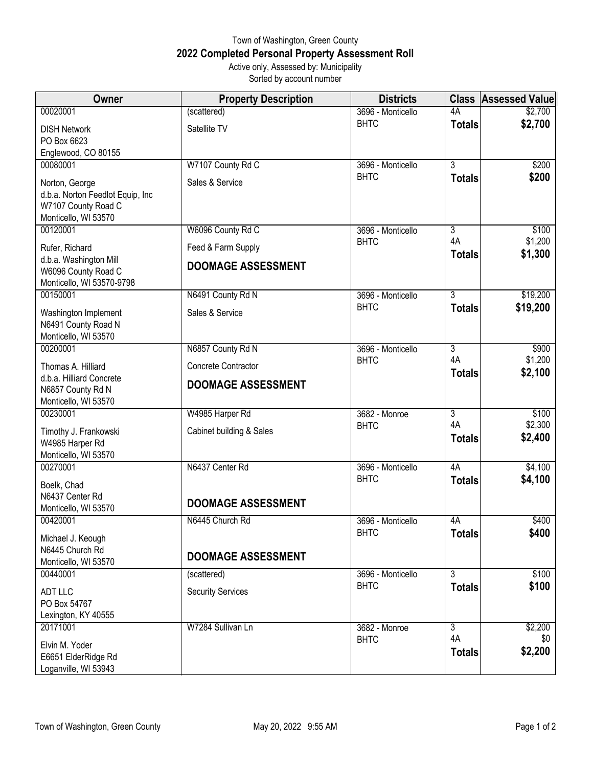## Town of Washington, Green County **2022 Completed Personal Property Assessment Roll** Active only, Assessed by: Municipality

Sorted by account number

| <b>Owner</b>                                            | <b>Property Description</b> | <b>Districts</b>                 |                | <b>Class Assessed Value</b> |
|---------------------------------------------------------|-----------------------------|----------------------------------|----------------|-----------------------------|
| 00020001                                                | (scattered)                 | 3696 - Monticello                | 4A             | \$2,700                     |
| <b>DISH Network</b>                                     | Satellite TV                | <b>BHTC</b>                      | <b>Totals</b>  | \$2,700                     |
| PO Box 6623                                             |                             |                                  |                |                             |
| Englewood, CO 80155<br>00080001                         | W7107 County Rd C           |                                  | $\overline{3}$ | \$200                       |
|                                                         |                             | 3696 - Monticello<br><b>BHTC</b> | <b>Totals</b>  | \$200                       |
| Norton, George                                          | Sales & Service             |                                  |                |                             |
| d.b.a. Norton Feedlot Equip, Inc<br>W7107 County Road C |                             |                                  |                |                             |
| Monticello, WI 53570                                    |                             |                                  |                |                             |
| 00120001                                                | W6096 County Rd C           | 3696 - Monticello                | 3              | \$100                       |
| Rufer, Richard                                          | Feed & Farm Supply          | <b>BHTC</b>                      | 4A             | \$1,200                     |
| d.b.a. Washington Mill                                  | <b>DOOMAGE ASSESSMENT</b>   |                                  | <b>Totals</b>  | \$1,300                     |
| W6096 County Road C                                     |                             |                                  |                |                             |
| Monticello, WI 53570-9798<br>00150001                   | N6491 County Rd N           | 3696 - Monticello                | $\overline{3}$ | \$19,200                    |
|                                                         |                             | <b>BHTC</b>                      | <b>Totals</b>  | \$19,200                    |
| Washington Implement<br>N6491 County Road N             | Sales & Service             |                                  |                |                             |
| Monticello, WI 53570                                    |                             |                                  |                |                             |
| 00200001                                                | N6857 County Rd N           | 3696 - Monticello                | $\overline{3}$ | \$900                       |
| Thomas A. Hilliard                                      | Concrete Contractor         | <b>BHTC</b>                      | 4A             | \$1,200                     |
| d.b.a. Hilliard Concrete                                | <b>DOOMAGE ASSESSMENT</b>   |                                  | <b>Totals</b>  | \$2,100                     |
| N6857 County Rd N                                       |                             |                                  |                |                             |
| Monticello, WI 53570<br>00230001                        | W4985 Harper Rd             | 3682 - Monroe                    | $\overline{3}$ | \$100                       |
|                                                         |                             | <b>BHTC</b>                      | 4A             | \$2,300                     |
| Timothy J. Frankowski<br>W4985 Harper Rd                | Cabinet building & Sales    |                                  | <b>Totals</b>  | \$2,400                     |
| Monticello, WI 53570                                    |                             |                                  |                |                             |
| 00270001                                                | N6437 Center Rd             | 3696 - Monticello                | 4A             | \$4,100                     |
| Boelk, Chad                                             |                             | <b>BHTC</b>                      | <b>Totals</b>  | \$4,100                     |
| N6437 Center Rd                                         | <b>DOOMAGE ASSESSMENT</b>   |                                  |                |                             |
| Monticello, WI 53570                                    |                             |                                  |                |                             |
| 00420001                                                | N6445 Church Rd             | 3696 - Monticello<br><b>BHTC</b> | 4A             | \$400<br>\$400              |
| Michael J. Keough                                       |                             |                                  | <b>Totals</b>  |                             |
| N6445 Church Rd<br>Monticello, WI 53570                 | <b>DOOMAGE ASSESSMENT</b>   |                                  |                |                             |
| 00440001                                                | (scattered)                 | 3696 - Monticello                | $\overline{3}$ | \$100                       |
| <b>ADT LLC</b>                                          | <b>Security Services</b>    | <b>BHTC</b>                      | <b>Totals</b>  | \$100                       |
| PO Box 54767                                            |                             |                                  |                |                             |
| Lexington, KY 40555                                     |                             |                                  |                |                             |
| 20171001                                                | W7284 Sullivan Ln           | 3682 - Monroe                    | $\overline{3}$ | \$2,200                     |
| Elvin M. Yoder                                          |                             | <b>BHTC</b>                      | 4A             | \$0                         |
| E6651 ElderRidge Rd                                     |                             |                                  | <b>Totals</b>  | \$2,200                     |
| Loganville, WI 53943                                    |                             |                                  |                |                             |